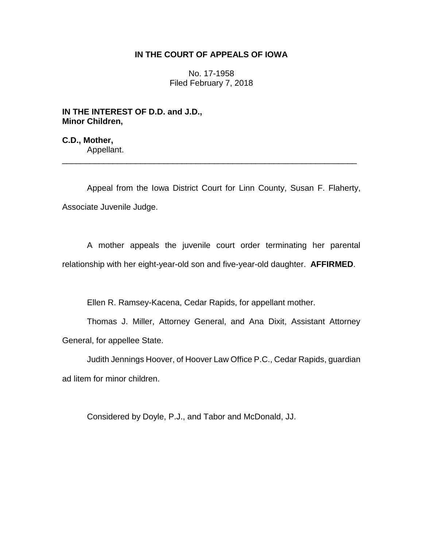## **IN THE COURT OF APPEALS OF IOWA**

No. 17-1958 Filed February 7, 2018

**IN THE INTEREST OF D.D. and J.D., Minor Children,**

**C.D., Mother,** Appellant.

Appeal from the Iowa District Court for Linn County, Susan F. Flaherty, Associate Juvenile Judge.

\_\_\_\_\_\_\_\_\_\_\_\_\_\_\_\_\_\_\_\_\_\_\_\_\_\_\_\_\_\_\_\_\_\_\_\_\_\_\_\_\_\_\_\_\_\_\_\_\_\_\_\_\_\_\_\_\_\_\_\_\_\_\_\_

A mother appeals the juvenile court order terminating her parental relationship with her eight-year-old son and five-year-old daughter. **AFFIRMED**.

Ellen R. Ramsey-Kacena, Cedar Rapids, for appellant mother.

Thomas J. Miller, Attorney General, and Ana Dixit, Assistant Attorney General, for appellee State.

Judith Jennings Hoover, of Hoover Law Office P.C., Cedar Rapids, guardian ad litem for minor children.

Considered by Doyle, P.J., and Tabor and McDonald, JJ.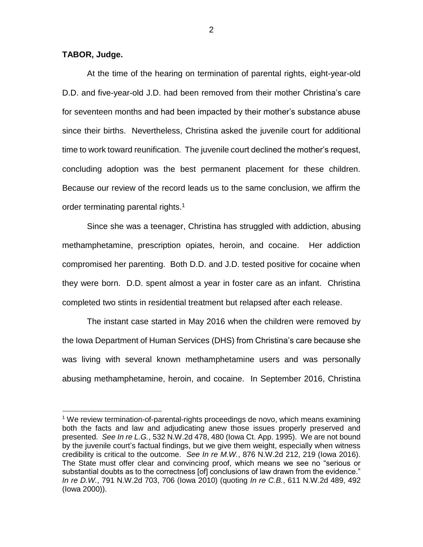## **TABOR, Judge.**

 $\overline{a}$ 

At the time of the hearing on termination of parental rights, eight-year-old D.D. and five-year-old J.D. had been removed from their mother Christina's care for seventeen months and had been impacted by their mother's substance abuse since their births. Nevertheless, Christina asked the juvenile court for additional time to work toward reunification. The juvenile court declined the mother's request, concluding adoption was the best permanent placement for these children. Because our review of the record leads us to the same conclusion, we affirm the order terminating parental rights.<sup>1</sup>

Since she was a teenager, Christina has struggled with addiction, abusing methamphetamine, prescription opiates, heroin, and cocaine. Her addiction compromised her parenting. Both D.D. and J.D. tested positive for cocaine when they were born. D.D. spent almost a year in foster care as an infant. Christina completed two stints in residential treatment but relapsed after each release.

The instant case started in May 2016 when the children were removed by the Iowa Department of Human Services (DHS) from Christina's care because she was living with several known methamphetamine users and was personally abusing methamphetamine, heroin, and cocaine. In September 2016, Christina

2

<sup>1</sup> We review termination-of-parental-rights proceedings de novo, which means examining both the facts and law and adjudicating anew those issues properly preserved and presented. *See In re L.G.*, 532 N.W.2d 478, 480 (Iowa Ct. App. 1995). We are not bound by the juvenile court's factual findings, but we give them weight, especially when witness credibility is critical to the outcome. *See In re M.W.*, 876 N.W.2d 212, 219 (Iowa 2016). The State must offer clear and convincing proof, which means we see no "serious or substantial doubts as to the correctness [of] conclusions of law drawn from the evidence." *In re D.W.*, 791 N.W.2d 703, 706 (Iowa 2010) (quoting *In re C.B.*, 611 N.W.2d 489, 492 (Iowa 2000)).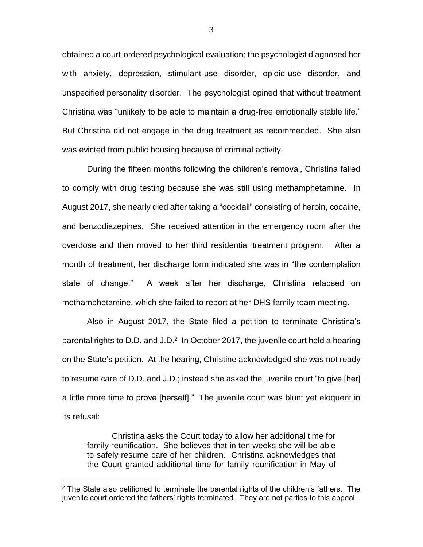obtained a court-ordered psychological evaluation; the psychologist diagnosed her with anxiety, depression, stimulant-use disorder, opioid-use disorder, and unspecified personality disorder. The psychologist opined that without treatment Christina was "unlikely to be able to maintain a drug-free emotionally stable life." But Christina did not engage in the drug treatment as recommended. She also was evicted from public housing because of criminal activity.

During the fifteen months following the children's removal, Christina failed to comply with drug testing because she was still using methamphetamine. In August 2017, she nearly died after taking a "cocktail" consisting of heroin, cocaine, and benzodiazepines. She received attention in the emergency room after the overdose and then moved to her third residential treatment program. After a month of treatment, her discharge form indicated she was in "the contemplation state of change." A week after her discharge, Christina relapsed on methamphetamine, which she failed to report at her DHS family team meeting.

Also in August 2017, the State filed a petition to terminate Christina's parental rights to D.D. and J.D. $^2$  In October 2017, the juvenile court held a hearing on the State's petition. At the hearing, Christine acknowledged she was not ready to resume care of D.D. and J.D.; instead she asked the juvenile court "to give [her] a little more time to prove [herself]." The juvenile court was blunt yet eloquent in its refusal:

Christina asks the Court today to allow her additional time for family reunification. She believes that in ten weeks she will be able to safely resume care of her children. Christina acknowledges that the Court granted additional time for family reunification in May of

 $\overline{a}$ 

 $2$  The State also petitioned to terminate the parental rights of the children's fathers. The juvenile court ordered the fathers' rights terminated. They are not parties to this appeal.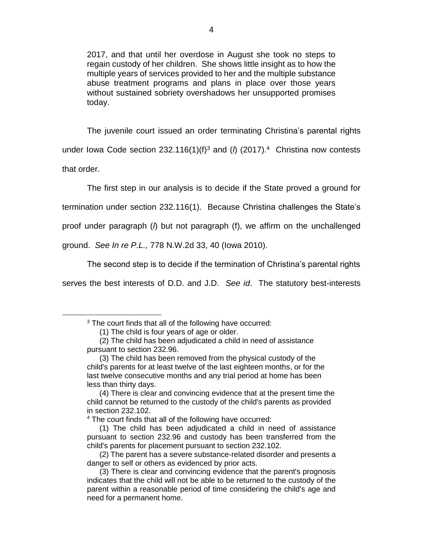2017, and that until her overdose in August she took no steps to regain custody of her children. She shows little insight as to how the multiple years of services provided to her and the multiple substance abuse treatment programs and plans in place over those years without sustained sobriety overshadows her unsupported promises today.

The juvenile court issued an order terminating Christina's parental rights under lowa Code section 232.116(1)( $f$ )<sup>3</sup> and ( $\theta$  (2017).<sup>4</sup> Christina now contests that order.

The first step in our analysis is to decide if the State proved a ground for termination under section 232.116(1). Because Christina challenges the State's proof under paragraph (*l*) but not paragraph (f), we affirm on the unchallenged ground. *See In re P.L.,* 778 N.W.2d 33, 40 (Iowa 2010).

The second step is to decide if the termination of Christina's parental rights serves the best interests of D.D. and J.D. *See id*. The statutory best-interests

 $\overline{a}$ 

<sup>&</sup>lt;sup>3</sup> The court finds that all of the following have occurred:

<sup>(1)</sup> The child is four years of age or older.

<sup>(2)</sup> The child has been adjudicated a child in need of assistance pursuant to section 232.96.

<sup>(3)</sup> The child has been removed from the physical custody of the child's parents for at least twelve of the last eighteen months, or for the last twelve consecutive months and any trial period at home has been less than thirty days.

<sup>(4)</sup> There is clear and convincing evidence that at the present time the child cannot be returned to the custody of the child's parents as provided in section 232.102.

<sup>4</sup> The court finds that all of the following have occurred:

<sup>(1)</sup> The child has been adjudicated a child in need of assistance pursuant to section 232.96 and custody has been transferred from the child's parents for placement pursuant to section 232.102.

<sup>(2)</sup> The parent has a severe substance-related disorder and presents a danger to self or others as evidenced by prior acts.

<sup>(3)</sup> There is clear and convincing evidence that the parent's prognosis indicates that the child will not be able to be returned to the custody of the parent within a reasonable period of time considering the child's age and need for a permanent home.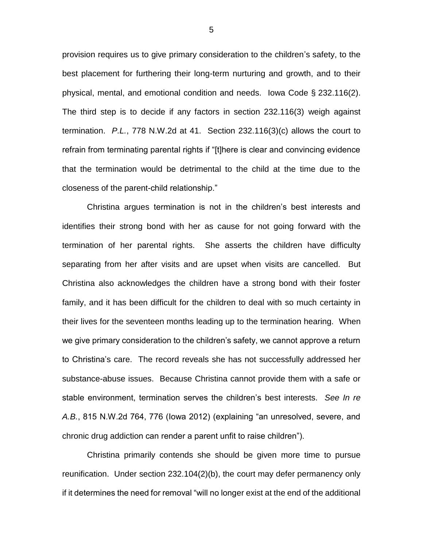provision requires us to give primary consideration to the children's safety, to the best placement for furthering their long-term nurturing and growth, and to their physical, mental, and emotional condition and needs. Iowa Code § 232.116(2). The third step is to decide if any factors in section 232.116(3) weigh against termination. *P.L.*, 778 N.W.2d at 41. Section 232.116(3)(c) allows the court to refrain from terminating parental rights if "[t]here is clear and convincing evidence that the termination would be detrimental to the child at the time due to the closeness of the parent-child relationship."

Christina argues termination is not in the children's best interests and identifies their strong bond with her as cause for not going forward with the termination of her parental rights. She asserts the children have difficulty separating from her after visits and are upset when visits are cancelled. But Christina also acknowledges the children have a strong bond with their foster family, and it has been difficult for the children to deal with so much certainty in their lives for the seventeen months leading up to the termination hearing. When we give primary consideration to the children's safety, we cannot approve a return to Christina's care. The record reveals she has not successfully addressed her substance-abuse issues. Because Christina cannot provide them with a safe or stable environment, termination serves the children's best interests. *See In re A.B.*, 815 N.W.2d 764, 776 (Iowa 2012) (explaining "an unresolved, severe, and chronic drug addiction can render a parent unfit to raise children").

Christina primarily contends she should be given more time to pursue reunification. Under section 232.104(2)(b), the court may defer permanency only if it determines the need for removal "will no longer exist at the end of the additional

5